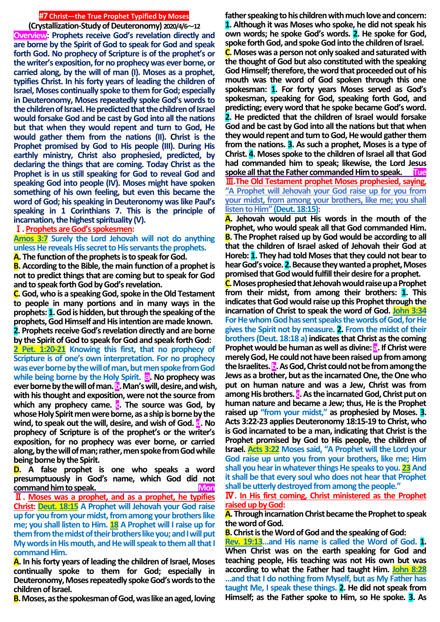## **#7 Christ—the True Prophet Typified by Moses**

**(Crystallization-Study of Deuteronomy) 2020/4/6**~**12 Overview: Prophets receive God's revelation directly and are borne by the Spirit of God to speak for God and speak forth God. No prophecy of Scripture is of the prophet's or the writer's exposition, for no prophecy was ever borne, or carried along, by the will of man (I). Moses as a prophet, typifies Christ. In his forty years of leading the children of Israel, Moses continually spoke to them for God; especially in Deuteronomy, Moses repeatedly spoke God's words to the children of Israel. He predicted that the children of Israel would forsake God and be cast by God into all the nations but that when they would repent and turn to God, He would gather them from the nations (II). Christ is the Prophet promised by God to His people (III). During His earthly ministry, Christ also prophesied, predicted, by declaring the things that are coming. Today Christ as the Prophet is in us still speaking for God to reveal God and speaking God into people (IV). Moses might have spoken something of his own feeling, but even this became the word of God; his speaking in Deuteronomy was like Paul's speaking in 1 Corinthians 7. This is the principle of incarnation, the highest spirituality (V).**

## Ⅰ**. Prophets are God's spokesmen:**

**Amos 3:7 Surely the Lord Jehovah will not do anything unless He reveals His secret to His servants the prophets.**

**A. The function of the prophets is to speak for God.**

**B. According to the Bible, the main function of a prophet is not to predict things that are coming but to speak for God and to speak forth God by God's revelation.**

**C.God, who is a speaking God, spoke in the Old Testament to people in many portions and in many ways in the prophets: 1.God is hidden, but through the speaking of the prophets, God Himself and His intention are made known. 2. Prophets receive God's revelation directly and are borne by the Spirit of God to speak for God and speak forth God:**

**2 Pet. 1:20-21 Knowing this first, that no prophecy of Scripture is of one's own interpretation. For no prophecy was ever borne by the will of man, but men spoke from God while being borne by the Holy Spirit. a.** No prophecy was ever borne by the will of man. **b**. Man's will, desire, and wish, **with his thought and exposition, were not the source from which any prophecy came. c. The source was God, by whose Holy Spirit men were borne, as a ship is borne by the wind, to speak out the will, desire, and wish of God. d. No prophecy of Scripture is of the prophet's or the writer's exposition, for no prophecy was ever borne, or carried along, by thewill of man; rather, men spoke from God while being borne by the Spirit.**

**D. A false prophet is one who speaks a word presumptuously in God's name, which God did not**  command him to speak.

Ⅱ**. Moses was a prophet, and as a prophet, he typifies Christ: Deut. 18:15 A Prophet will Jehovah your God raise up for you from your midst, from among your brothers like me; you shall listen to Him. 18 A Prophet will I raise up for them from the midst of their brothers like you; and I will put My words in His mouth, and He will speak to them all that I command Him.**

**A. In his forty years of leading the children of Israel, Moses continually spoke to them for God; especially in Deuteronomy, Moses repeatedly spoke God's words to the children of Israel.**

**B.Moses, as the spokesman of God, was like an aged, loving** 

**father speaking to his children with much love and concern: 1. Although it was Moses who spoke, he did not speak his own words; he spoke God's words. 2. He spoke for God, spoke forth God, and spoke God into the children of Israel. C. Moses was a person not only soaked and saturated with the thought of God but also constituted with the speaking God Himself; therefore, the word that proceeded out of his mouth was the word of God spoken through this one spokesman: 1. For forty years Moses served as God's spokesman, speaking for God, speaking forth God, and predicting; every word that he spoke became God's word. 2. He predicted that the children of Israel would forsake God and be cast by God into all the nations but that when they would repent and turn to God, He would gather them from the nations. 3. As such a prophet, Moses is a type of Christ. 4. Moses spoke to the children of Israel all that God had commanded him to speak; likewise, the Lord Jesus spoke all that the Father commanded Him to speak. Tue** Ⅲ**.The Old Testament prophet Moses prophesied, saying, "A Prophet will Jehovah your God raise up for you from your midst, from among your brothers, like me; you shall listen to Him" (Deut. 18:15):**

**A. Jehovah would put His words in the mouth of the Prophet, who would speak all that God commanded Him. B. The Prophet raised up by God would be according to all that the children of Israel asked of Jehovah their God at Horeb: 1. They had told Moses that they could not bear to hear God's voice. 2.Because they wanted a prophet, Moses promised that God would fulfill their desire for a prophet.**

**C.Moses prophesied that Jehovah would raise up a Prophet from their midst, from among their brothers: 1. This indicates that God would raise up this Prophet through the incarnation of Christ to speak the word of God. John 3:34 For He whom God has sent speaks the words of God, for He gives the Spirit not by measure. 2. From the midst of their brothers (Deut. 18:18 a) indicates that Christ as the coming Prophet would be human as well as divine: a. If Christ were merely God, He could not have been raised up from among**  the Israelites. **b**. As God, Christ could not be from among the **Jews as a brother, but as the incarnated One, the One who put on human nature and was a Jew, Christ was from**  among His brothers. **c**. As the incarnated God, Christ put on **human nature and became a Jew; thus, He is the Prophet raised up "from your midst," as prophesied by Moses. 3. Acts 3:22-23 applies Deuteronomy 18:15-19 to Christ, who is God incarnated to be a man, indicating that Christ is the Prophet promised by God to His people, the children of Israel. Acts 3:22 Moses said, "A Prophet will the Lord your God raise up unto you from your brothers, like me; Him**  shall you hear in whatever things He speaks to you. 23 And **it shall be that every soul who does not hear that Prophet shall be utterly destroyed from among the people."**

Ⅳ**. In His first coming, Christ ministered as the Prophet raised up by God:**

**A. Through incarnation Christ became the Prophet to speak the word of God.**

**B. Christ is the Word of God and the speaking of God:**

**Rev. 19:13…and His name is called the Word of God. 1. When Christ was on the earth speaking for God and teaching people, His teaching was not His own but was according to what the Father had taught Him. John 8:28 …and that I do nothing from Myself, but as My Father has taught Me, I speak these things. 2. He did not speak from Himself; as the Father spoke to Him, so He spoke. 3. As**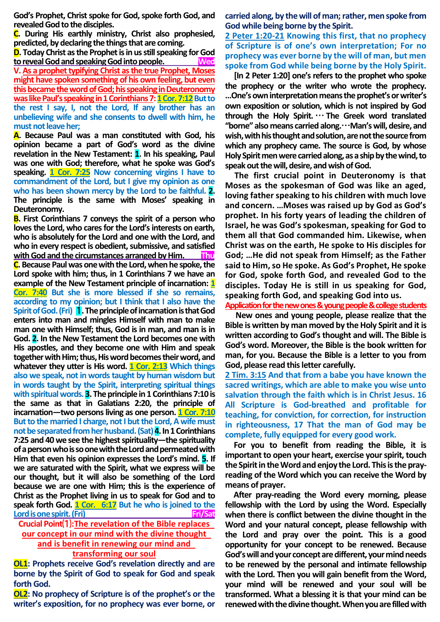**God's Prophet, Christ spoke for God, spoke forth God, and revealed God to the disciples.**

**C. During His earthly ministry, Christ also prophesied, predicted, by declaring the things that are coming.**

**D. Today Christ as the Prophet is in us still speaking for God**  to reveal God and speaking God into people. **V. As a prophet typifying Christ as the true Prophet, Moses might have spoken something of his own feeling, but even this became the word of God; his speaking in Deuteronomy was like Paul's speaking in 1 Corinthians 7: 1 Cor. 7:12 But to the rest I say, I, not the Lord, If any brother has an unbelieving wife and she consents to dwell with him, he must not leave her;**

**A. Because Paul was a man constituted with God, his opinion became a part of God's word as the divine revelation in the New Testament: 1. In his speaking, Paul was one with God; therefore, what he spoke was God's speaking. 1 Cor. 7:25 Now concerning virgins I have to commandment of the Lord, but I give my opinion as one who has been shown mercy by the Lord to be faithful. 2. The principle is the same with Moses' speaking in Deuteronomy.**

**B. First Corinthians 7 conveys the spirit of a person who loves the Lord, who cares for the Lord's interests on earth, who is absolutely for the Lord and one with the Lord, and who in every respect is obedient, submissive, and satisfied with God and the circumstances arranged by Him. Thu C.** Because Paul was one with the Lord, when he spoke, the **Lord spoke with him; thus, in 1 Corinthians 7 we have an example of the New Testament principle of incarnation: 1 Cor. 7:40 But she is more blessed if she so remains, according to my opinion; but I think that I also have the Spirit of God. (Fri)** 1**.The principle of incarnation is that God enters into man and mingles Himself with man to make man one with Himself; thus, God is in man, and man is in God. 2. In the New Testament the Lord becomes one with His apostles, and they become one with Him and speak together with Him; thus, His word becomes their word, and whatever they utter is His word. 1 Cor. 2:13 Which things also we speak, not in words taught by human wisdom but in words taught by the Spirit, interpreting spiritual things with spiritual words. 3. The principle in 1 Corinthians 7:10 is the same as that in Galatians 2:20, the principle of incarnation—two persons living as one person. 1 Cor. 7:10 But to the married I charge, not I but the Lord, A wife must not be separated from her husband. (Sat)4.In 1 Corinthians 7:25 and 40 we see the highest spirituality—the spirituality of a person who is so one with the Lord and permeated with Him that even his opinion expresses the Lord's mind. 5. If we are saturated with the Spirit, what we express will be our thought, but it will also be something of the Lord because we are one with Him; this is the experience of Christ as the Prophet living in us to speak for God and to speak forth God. 1 Cor. 6:17 But he who is joined to the Lord is one spirit. (Fri)** Fri/Sat

**Crucial Point**⑴**:The revelation of the Bible replaces our concept in our mind with the divine thought and is benefit in renewing our mind and transforming our soul**

**OL1: Prophets receive God's revelation directly and are borne by the Spirit of God to speak for God and speak forth God.** 

**OL2: No prophecy of Scripture is of the prophet's or the writer's exposition, for no prophecy was ever borne, or** 

**carried along, by the will of man; rather, men spoke from God while being borne by the Spirit.**

**2 Peter 1:20-21 Knowing this first, that no prophecy of Scripture is of one's own interpretation; For no prophecy was ever borne by the will of man, but men spoke from God while being borne by the Holy Spirit.**

**[In 2 Peter 1:20] one's refers to the prophet who spoke the prophecy or the writer who wrote the prophecy. ...One's own interpretation means the prophet's or writer's own exposition or solution, which is not inspired by God through the Holy Spirit.** … **The Greek word translated "borne" also means carried along.**…**Man's will, desire, and wish, with his thought and solution, arenot the source from which any prophecy came. The source is God, by whose Holy Spirit men were carried along, as a ship by the wind, to**  speak out the will, desire, and wish of God.

**The first crucial point in Deuteronomy is that Moses as the spokesman of God was like an aged, loving father speaking to his children with much love and concern. …Moses was raised up by God as God's prophet. In his forty years of leading the children of Israel, he was God's spokesman, speaking for God to them all that God commanded him. Likewise, when Christ was on the earth, He spoke to His disciples for God; …He did not speak from Himself; as the Father said to Him, so He spoke. As God's Prophet, He spoke for God, spoke forth God, and revealed God to the disciples. Today He is still in us speaking for God, speaking forth God, and speaking God into us.**

**Application for the new ones & young people & college students**

**New ones and young people, please realize that the Bible is written by man moved by the Holy Spirit and it is written according to God's thought and will. The Bible is God's word. Moreover, the Bible is the book written for man, for you. Because the Bible is a letter to you from God, please read this letter carefully.** 

**2 Tim. 3:15 And that from a babe you have known the sacred writings, which are able to make you wise unto salvation through the faith which is in Christ Jesus. 16 All Scripture is God-breathed and profitable for teaching, for conviction, for correction, for instruction in righteousness, 17 That the man of God may be complete, fully equipped for every good work.**

**For you to benefit from reading the Bible, it is important to open your heart, exercise your spirit, touch the Spirit in the Word and enjoy the Lord. This is the prayreading of the Word which you can receive the Word by means of prayer.**

**After pray-reading the Word every morning, please fellowship with the Lord by using the Word. Especially when there is conflict between the divine thought in the Word and your natural concept, please fellowship with the Lord and pray over the point. This is a good opportunity for your concept to be renewed. Because God's will and your concept are different, your mind needs to be renewed by the personal and intimate fellowship with the Lord. Then you will gain benefit from the Word, your mind will be renewed and your soul will be transformed. What a blessing it is that your mind can be renewed with the divine thought. When you are filled with**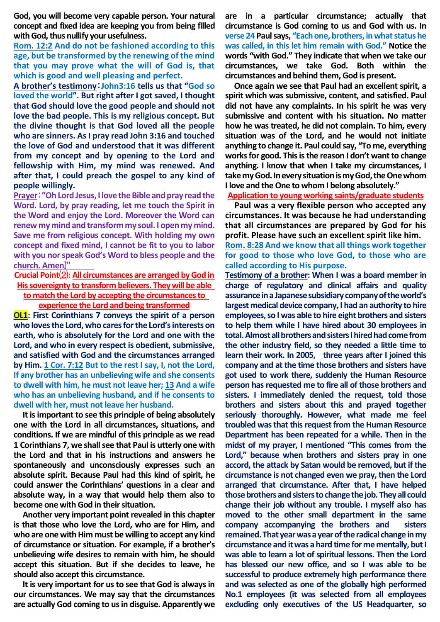**God, you will become very capable person. Your natural concept and fixed idea are keeping you from being filled with God, thus nullify your usefulness.**

**Rom. 12:2 And do not be fashioned according to this age, but be transformed by the renewing of the mind that you may prove what the will of God is, that which is good and well pleasing and perfect.**

**A brother's testimony**:**John3:16 tells us that "God so loved the world". But right after I got saved, I thought that God should love the good people and should not love the bad people. This is my religious concept. But the divine thought is that God loved all the people who are sinners. As I pray read John 3:16 and touched the love of God and understood that it was different from my concept and by opening to the Lord and fellowship with Him, my mind was renewed. And after that, I could preach the gospel to any kind of people willingly.**

**Prayer**:**"Oh Lord Jesus, I love the Bible and pray read the Word. Lord, by pray reading, let me touch the Spirit in the Word and enjoy the Lord. Moreover the Word can renew my mind and transform my soul. I open my mind. Save me from religious concept. With holding my own concept and fixed mind, I cannot be fit to you to labor with you nor speak God's Word to bless people and the church. Amen**!**"**

**Crucial Point**⑵**: All circumstances are arranged by God in His sovereignty to transform believers. They will be able to match the Lord by accepting the circumstances to** 

**experience the Lord and being transformed**

**OL1: First Corinthians 7 conveys the spirit of a person who loves the Lord, who cares for the Lord's interests on earth, who is absolutely for the Lord and one with the Lord, and who in every respect is obedient, submissive, and satisfied with God and the circumstances arranged by Him. 1 Cor. 7:12 But to the rest I say, I, not the Lord, If any brother has an unbelieving wife and she consents to dwell with him, he must not leave her; 13 And a wife who has an unbelieving husband, and if he consents to dwell with her, must not leave her husband.**

**It is important to see this principle of being absolutely one with the Lord in all circumstances, situations, and conditions. If we are mindful of this principle as we read 1 Corinthians 7, we shall see that Paul is utterly one with the Lord and that in his instructions and answers he spontaneously and unconsciously expresses such an absolute spirit. Because Paul had this kind of spirit, he could answer the Corinthians' questions in a clear and absolute way, in a way that would help them also to become one with God in their situation.**

**Another very important point revealed in this chapter is that those who love the Lord, who are for Him, and who are one with Him must be willing to accept any kind of circumstance or situation. For example, if a brother's unbelieving wife desires to remain with him, he should accept this situation. But if she decides to leave, he should also accept this circumstance.**

**It is very important for us to see that God is always in our circumstances. We may say that the circumstances are actually God coming to us in disguise. Apparently we**  **are in a particular circumstance; actually that circumstance is God coming to us and God with us. In verse 24 Paul says, "Each one, brothers, in what status he was called, in this let him remain with God." Notice the words "with God." They indicate that when we take our circumstances, we take God. Both within the circumstances and behind them, God is present.**

**Once again we see that Paul had an excellent spirit, a spirit which was submissive, content, and satisfied. Paul did not have any complaints. In his spirit he was very submissive and content with his situation. No matter how he was treated, he did not complain. To him, every situation was of the Lord, and he would not initiate anything to change it. Paul could say, "To me, everything works for good. This is the reason I don't want to change anything. I know that when I take my circumstances, I take my God. In every situation is my God, the One whom I love and the One to whom I belong absolutely."**

**Application to young working saints/graduate students**

**Paul was a very flexible person who accepted any circumstances. It was because he had understanding that all circumstances are prepared by God for his profit. Please have such an excellent spirit like him.** 

**Rom. 8:28 And we know that all things work together for good to those who love God, to those who are called according to His purpose.**

**Testimony of a brother: When I was a board member in charge of regulatory and clinical affairs and quality assurance in a Japanese subsidiary company of the world's largest medical device company, I had an authority to hire employees, so I was able to hire eight brothers and sisters to help them while I have hired about 30 employees in total. Almost all brothers and sisters I hired had come from the other industry field, so they needed a little time to learn their work. In 2005, three years after I joined this company and at the time those brothers and sisters have got used to work there, suddenly the Human Resource person has requested me to fire all of those brothers and sisters. I immediately denied the request, told those brothers and sisters about this and prayed together seriously thoroughly. However, what made me feel troubled was that this request from the Human Resource Department has been repeated for a while. Then in the midst of my prayer, I mentioned "This comes from the Lord," because when brothers and sisters pray in one accord, the attack by Satan would be removed, but if the circumstance is not changed even we pray, then the Lord arranged that circumstance. After that, I have helped those brothers and sisters to change the job. They all could change their job without any trouble. I myself also has moved to the other small department in the same company accompanying the brothers and sisters remained. That year was a year of the radical change in my circumstance and it was a hard time for me mentally, but I was able to learn a lot of spiritual lessons. Then the Lord has blessed our new office, and so I was able to be successful to produce extremely high performance there and was selected as one of the globally high performed No.1 employees (it was selected from all employees excluding only executives of the US Headquarter, so**